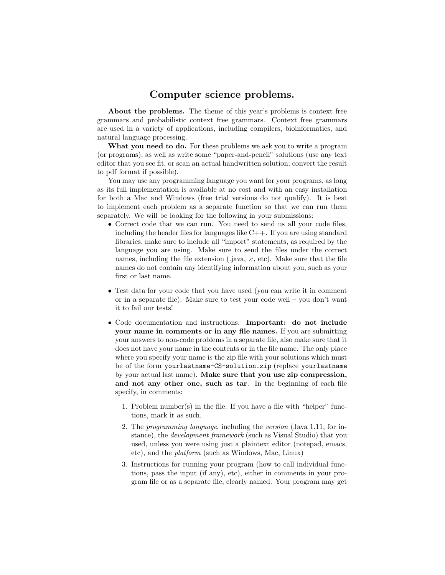## Computer science problems.

About the problems. The theme of this year's problems is context free grammars and probabilistic context free grammars. Context free grammars are used in a variety of applications, including compilers, bioinformatics, and natural language processing.

What you need to do. For these problems we ask you to write a program (or programs), as well as write some "paper-and-pencil" solutions (use any text editor that you see fit, or scan an actual handwritten solution; convert the result to pdf format if possible).

You may use any programming language you want for your programs, as long as its full implementation is available at no cost and with an easy installation for both a Mac and Windows (free trial versions do not qualify). It is best to implement each problem as a separate function so that we can run them separately. We will be looking for the following in your submissions:

- Correct code that we can run. You need to send us all your code files, including the header files for languages like  $C_{++}$ . If you are using standard libraries, make sure to include all "import" statements, as required by the language you are using. Make sure to send the files under the correct names, including the file extension (.java, .c, etc). Make sure that the file names do not contain any identifying information about you, such as your first or last name.
- Test data for your code that you have used (you can write it in comment or in a separate file). Make sure to test your code well – you don't want it to fail our tests!
- Code documentation and instructions. Important: do not include your name in comments or in any file names. If you are submitting your answers to non-code problems in a separate file, also make sure that it does not have your name in the contents or in the file name. The only place where you specify your name is the zip file with your solutions which must be of the form yourlastname-CS-solution.zip (replace yourlastname by your actual last name). Make sure that you use zip compression, and not any other one, such as tar. In the beginning of each file specify, in comments:
	- 1. Problem number(s) in the file. If you have a file with "helper" functions, mark it as such.
	- 2. The *programming language*, including the *version* (Java 1.11, for instance), the *development framework* (such as Visual Studio) that you used, unless you were using just a plaintext editor (notepad, emacs, etc), and the *platform* (such as Windows, Mac, Linux)
	- 3. Instructions for running your program (how to call individual functions, pass the input (if any), etc), either in comments in your program file or as a separate file, clearly named. Your program may get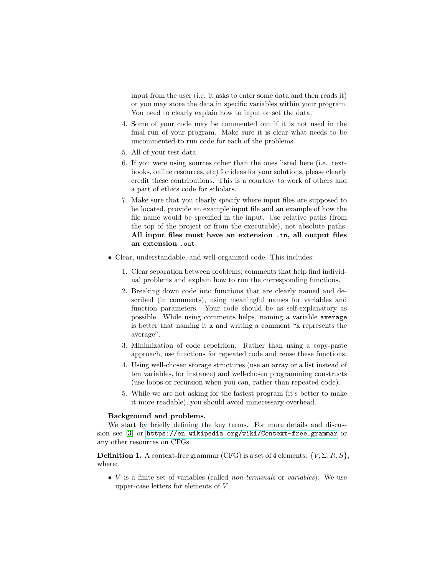input from the user (i.e. it asks to enter some data and then reads it) or you may store the data in specific variables within your program. You need to clearly explain how to input or set the data.

- 4. Some of your code may be commented out if it is not used in the final run of your program. Make sure it is clear what needs to be uncommented to run code for each of the problems.
- 5. All of your test data.
- 6. If you were using sources other than the ones listed here (i.e. textbooks, online resources, etc) for ideas for your solutions, please clearly credit these contributions. This is a courtesy to work of others and a part of ethics code for scholars.
- 7. Make sure that you clearly specify where input files are supposed to be located, provide an example input file and an example of how the file name would be specified in the input. Use relative paths (from the top of the project or from the executable), not absolute paths. All input files must have an extension .in, all output files an extension .out.
- Clear, understandable, and well-organized code. This includes:
	- 1. Clear separation between problems; comments that help find individual problems and explain how to run the corresponding functions.
	- 2. Breaking down code into functions that are clearly named and described (in comments), using meaningful names for variables and function parameters. Your code should be as self-explanatory as possible. While using comments helps, naming a variable average is better that naming it x and writing a comment "x represents the average".
	- 3. Minimization of code repetition. Rather than using a copy-paste approach, use functions for repeated code and reuse these functions.
	- 4. Using well-chosen storage structures (use an array or a list instead of ten variables, for instance) and well-chosen programming constructs (use loops or recursion when you can, rather than repeated code).
	- 5. While we are not asking for the fastest program (it's better to make it more readable), you should avoid unnecessary overhead.

## Background and problems.

We start by briefly defining the key terms. For more details and discussion see [\[3\]](#page-9-0) or [https://en.wikipedia.org/wiki/Context-free\\_grammar](https://en.wikipedia.org/wiki/Context-free_grammar) or any other resources on CFGs.

**Definition 1.** A context-free grammar (CFG) is a set of 4 elements:  $\{V, \Sigma, R, S\}$ , where:

• V is a finite set of variables (called *non-terminals* or *variables*). We use upper-case letters for elements of V .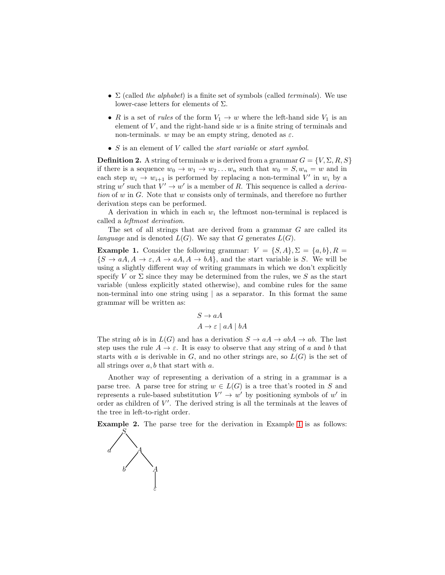- Σ (called *the alphabet*) is a finite set of symbols (called *terminals*). We use lower-case letters for elements of  $\Sigma$ .
- R is a set of *rules* of the form  $V_1 \rightarrow w$  where the left-hand side  $V_1$  is an element of  $V$ , and the right-hand side  $w$  is a finite string of terminals and non-terminals. w may be an empty string, denoted as  $\varepsilon$ .
- S is an element of V called the *start variable* or *start symbol*.

**Definition 2.** A string of terminals w is derived from a grammar  $G = \{V, \Sigma, R, S\}$ if there is a sequence  $w_0 \to w_1 \to w_2 \dots w_n$  such that  $w_0 = S, w_n = w$  and in each step  $w_i \rightarrow w_{i+1}$  is performed by replacing a non-terminal V' in  $w_i$  by a string  $w'$  such that  $V' \to w'$  is a member of R. This sequence is called a *derivation* of w in G. Note that w consists only of terminals, and therefore no further derivation steps can be performed.

A derivation in which in each  $w_i$  the leftmost non-terminal is replaced is called a *leftmost derivation*.

The set of all strings that are derived from a grammar G are called its *language* and is denoted  $L(G)$ . We say that G generates  $L(G)$ .

<span id="page-2-0"></span>**Example 1.** Consider the following grammar:  $V = \{S, A\}, \Sigma = \{a, b\}, R =$  $\{S \to aA, A \to \varepsilon, A \to aA, A \to bA\}$ , and the start variable is S. We will be using a slightly different way of writing grammars in which we don't explicitly specify V or  $\Sigma$  since they may be determined from the rules, we S as the start variable (unless explicitly stated otherwise), and combine rules for the same non-terminal into one string using | as a separator. In this format the same grammar will be written as:

$$
S \to aA
$$
  

$$
A \to \varepsilon \mid aA \mid bA
$$

The string ab is in  $L(G)$  and has a derivation  $S \to aA \to abA \to ab$ . The last step uses the rule  $A \to \varepsilon$ . It is easy to observe that any string of a and b that starts with a is derivable in G, and no other strings are, so  $L(G)$  is the set of all strings over  $a, b$  that start with  $a$ .

Another way of representing a derivation of a string in a grammar is a parse tree. A parse tree for string  $w \in L(G)$  is a tree that's rooted in S and represents a rule-based substitution  $V' \rightarrow w'$  by positioning symbols of w' in order as children of  $V'$ . The derived string is all the terminals at the leaves of the tree in left-to-right order.

Example 2. The parse tree for the derivation in Example [1](#page-2-0) is as follows:

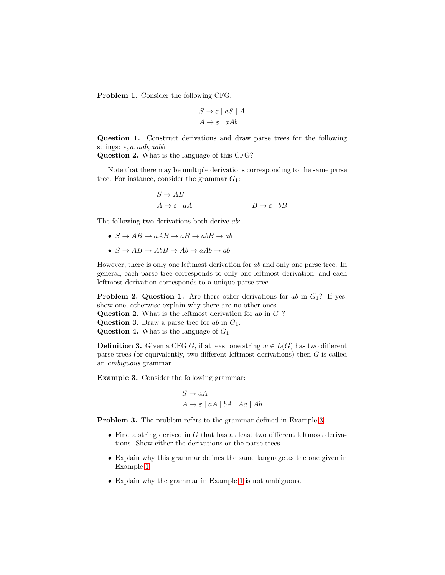Problem 1. Consider the following CFG:

$$
S \to \varepsilon \mid aS \mid A
$$

$$
A \to \varepsilon \mid aAb
$$

Question 1. Construct derivations and draw parse trees for the following strings:  $\varepsilon$ ,  $a$ ,  $aab$ ,  $aab$ .

Question 2. What is the language of this CFG?

Note that there may be multiple derivations corresponding to the same parse tree. For instance, consider the grammar  $G_1$ :

$$
S \to AB
$$
  

$$
A \to \varepsilon \mid aA
$$
  

$$
B \to \varepsilon \mid bB
$$

The following two derivations both derive ab:

- $S \to AB \to aAB \to aB \to abB \to ab$
- $S \to AB \to AbB \to Ab \to aAb \to ab$

However, there is only one leftmost derivation for ab and only one parse tree. In general, each parse tree corresponds to only one leftmost derivation, and each leftmost derivation corresponds to a unique parse tree.

**Problem 2. Question 1.** Are there other derivations for ab in  $G_1$ ? If yes, show one, otherwise explain why there are no other ones.

- **Question 2.** What is the leftmost derivation for ab in  $G_1$ ?
- **Question 3.** Draw a parse tree for  $ab$  in  $G_1$ .

**Question 4.** What is the language of  $G_1$ 

**Definition 3.** Given a CFG G, if at least one string  $w \in L(G)$  has two different parse trees (or equivalently, two different leftmost derivations) then G is called an *ambiguous* grammar.

<span id="page-3-0"></span>Example 3. Consider the following grammar:

$$
S \to aA
$$
  

$$
A \to \varepsilon \mid aA \mid bA \mid Aa \mid Ab
$$

Problem 3. The problem refers to the grammar defined in Example [3](#page-3-0)

- Find a string derived in  $G$  that has at least two different leftmost derivations. Show either the derivations or the parse trees.
- Explain why this grammar defines the same language as the one given in Example [1.](#page-2-0)
- Explain why the grammar in Example [1](#page-2-0) is not ambiguous.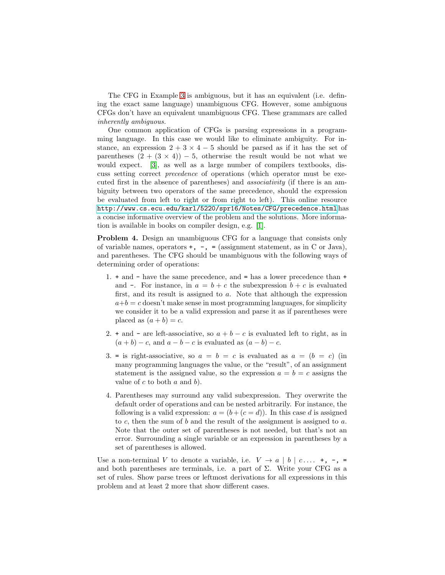The CFG in Example [3](#page-3-0) is ambiguous, but it has an equivalent (i.e. defining the exact same language) unambiguous CFG. However, some ambiguous CFGs don't have an equivalent unambiguous CFG. These grammars are called *inherently ambiguous.*

One common application of CFGs is parsing expressions in a programming language. In this case we would like to eliminate ambiguity. For instance, an expression  $2 + 3 \times 4 - 5$  should be parsed as if it has the set of parentheses  $(2 + (3 \times 4)) - 5$ , otherwise the result would be not what we would expect. [\[3\]](#page-9-0), as well as a large number of compilers textbooks, discuss setting correct *precedence* of operations (which operator must be executed first in the absence of parentheses) and *associativity* (if there is an ambiguity between two operators of the same precedence, should the expression be evaluated from left to right or from right to left). This online resource <http://www.cs.ecu.edu/karl/5220/spr16/Notes/CFG/precedence.html> has a concise informative overview of the problem and the solutions. More information is available in books on compiler design, e.g. [\[1\]](#page-8-0).

Problem 4. Design an unambiguous CFG for a language that consists only of variable names, operators  $+$ ,  $-$ ,  $=$  (assignment statement, as in C or Java), and parentheses. The CFG should be unambiguous with the following ways of determining order of operations:

- 1. + and have the same precedence, and = has a lower precedence than + and  $\overline{\phantom{a}}$ . For instance, in  $a = b + c$  the subexpression  $b + c$  is evaluated first, and its result is assigned to a. Note that although the expression  $a+b = c$  doesn't make sense in most programming languages, for simplicity we consider it to be a valid expression and parse it as if parentheses were placed as  $(a + b) = c$ .
- 2. + and are left-associative, so  $a + b c$  is evaluated left to right, as in  $(a + b) - c$ , and  $a - b - c$  is evaluated as  $(a - b) - c$ .
- 3. = is right-associative, so  $a = b = c$  is evaluated as  $a = (b = c)$  (in many programming languages the value, or the "result", of an assignment statement is the assigned value, so the expression  $a = b = c$  assigns the value of  $c$  to both  $a$  and  $b$ ).
- 4. Parentheses may surround any valid subexpression. They overwrite the default order of operations and can be nested arbitrarily. For instance, the following is a valid expression:  $a = (b + (c = d))$ . In this case d is assigned to c, then the sum of b and the result of the assignment is assigned to a. Note that the outer set of parentheses is not needed, but that's not an error. Surrounding a single variable or an expression in parentheses by a set of parentheses is allowed.

Use a non-terminal V to denote a variable, i.e.  $V \rightarrow a \mid b \mid c \ldots +$ ,  $\neg$ , = and both parentheses are terminals, i.e. a part of  $\Sigma$ . Write your CFG as a set of rules. Show parse trees or leftmost derivations for all expressions in this problem and at least 2 more that show different cases.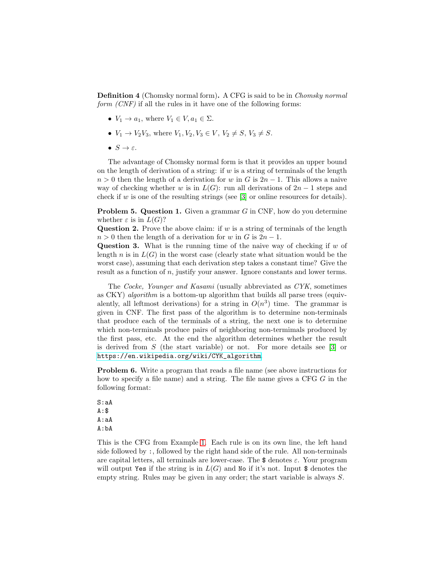Definition 4 (Chomsky normal form). A CFG is said to be in *Chomsky normal form (CNF)* if all the rules in it have one of the following forms:

- $V_1 \rightarrow a_1$ , where  $V_1 \in V, a_1 \in \Sigma$ .
- $V_1 \to V_2V_3$ , where  $V_1, V_2, V_3 \in V$ ,  $V_2 \neq S$ ,  $V_3 \neq S$ .
- $\bullet$   $S \rightarrow \varepsilon$ .

The advantage of Chomsky normal form is that it provides an upper bound on the length of derivation of a string: if  $w$  is a string of terminals of the length  $n > 0$  then the length of a derivation for w in G is  $2n - 1$ . This allows a naive way of checking whether w is in  $L(G)$ : run all derivations of  $2n-1$  steps and check if w is one of the resulting strings (see  $|3|$  or online resources for details).

**Problem 5. Question 1.** Given a grammar  $G$  in CNF, how do you determine whether  $\varepsilon$  is in  $L(G)$ ?

**Question 2.** Prove the above claim: if  $w$  is a string of terminals of the length  $n > 0$  then the length of a derivation for w in G is  $2n - 1$ .

**Question 3.** What is the running time of the naive way of checking if  $w$  of length n is in  $L(G)$  in the worst case (clearly state what situation would be the worst case), assuming that each derivation step takes a constant time? Give the result as a function of n, justify your answer. Ignore constants and lower terms.

The *Cocke, Younger and Kasami* (usually abbreviated as *CYK*, sometimes as CKY) *algorithm* is a bottom-up algorithm that builds all parse trees (equivalently, all leftmost derivations) for a string in  $O(n^3)$  time. The grammar is given in CNF. The first pass of the algorithm is to determine non-terminals that produce each of the terminals of a string, the next one is to determine which non-terminals produce pairs of neighboring non-termimals produced by the first pass, etc. At the end the algorithm determines whether the result is derived from  $S$  (the start variable) or not. For more details see [\[3\]](#page-9-0) or [https://en.wikipedia.org/wiki/CYK\\_algorithm](https://en.wikipedia.org/wiki/CYK_algorithm).

<span id="page-5-0"></span>Problem 6. Write a program that reads a file name (see above instructions for how to specify a file name) and a string. The file name gives a CFG G in the following format:

S:aA A:\$ A:aA A:bA

This is the CFG from Example [1.](#page-2-0) Each rule is on its own line, the left hand side followed by :, followed by the right hand side of the rule. All non-terminals are capital letters, all terminals are lower-case. The  $\frac{1}{2}$  denotes  $\varepsilon$ . Your program will output Yes if the string is in  $L(G)$  and No if it's not. Input \$ denotes the empty string. Rules may be given in any order; the start variable is always S.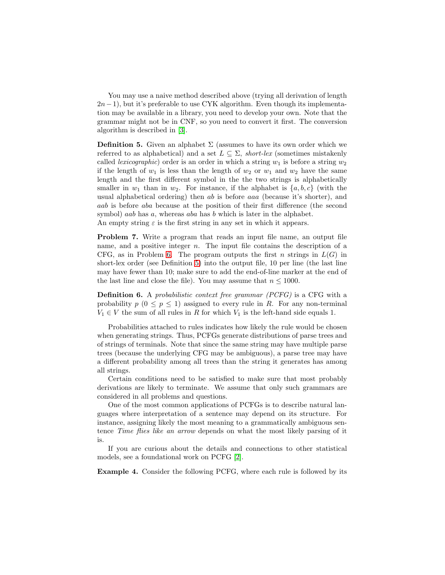You may use a naive method described above (trying all derivation of length  $2n-1$ , but it's preferable to use CYK algorithm. Even though its implementation may be available in a library, you need to develop your own. Note that the grammar might not be in CNF, so you need to convert it first. The conversion algorithm is described in [\[3\]](#page-9-0).

<span id="page-6-0"></span>**Definition 5.** Given an alphabet  $\Sigma$  (assumes to have its own order which we referred to as alphabetical) and a set  $L \subseteq \Sigma$ , *short-lex* (sometimes mistakenly called *lexicographic*) order is an order in which a string  $w_1$  is before a string  $w_2$ if the length of  $w_1$  is less than the length of  $w_2$  or  $w_1$  and  $w_2$  have the same length and the first different symbol in the the two strings is alphabetically smaller in  $w_1$  than in  $w_2$ . For instance, if the alphabet is  $\{a, b, c\}$  (with the usual alphabetical ordering) then ab is before aaa (because it's shorter), and aab is before aba because at the position of their first difference (the second symbol) *aab* has a, whereas aba has b which is later in the alphabet. An empty string  $\varepsilon$  is the first string in any set in which it appears.

<span id="page-6-2"></span>Problem 7. Write a program that reads an input file name, an output file name, and a positive integer  $n$ . The input file contains the description of a CFG, as in Problem [6.](#page-5-0) The program outputs the first n strings in  $L(G)$  in short-lex order (see Definition [5\)](#page-6-0) into the output file, 10 per line (the last line may have fewer than 10; make sure to add the end-of-line marker at the end of the last line and close the file). You may assume that  $n \leq 1000$ .

Definition 6. A *probabilistic context free grammar (PCFG)* is a CFG with a probability  $p(0 \leq p \leq 1)$  assigned to every rule in R. For any non-terminal  $V_1 \in V$  the sum of all rules in R for which  $V_1$  is the left-hand side equals 1.

Probabilities attached to rules indicates how likely the rule would be chosen when generating strings. Thus, PCFGs generate distributions of parse trees and of strings of terminals. Note that since the same string may have multiple parse trees (because the underlying CFG may be ambiguous), a parse tree may have a different probability among all trees than the string it generates has among all strings.

Certain conditions need to be satisfied to make sure that most probably derivations are likely to terminate. We assume that only such grammars are considered in all problems and questions.

One of the most common applications of PCFGs is to describe natural languages where interpretation of a sentence may depend on its structure. For instance, assigning likely the most meaning to a grammatically ambiguous sentence *Time flies like an arrow* depends on what the most likely parsing of it is.

If you are curious about the details and connections to other statistical models, see a foundational work on PCFG [\[2\]](#page-8-1).

<span id="page-6-1"></span>Example 4. Consider the following PCFG, where each rule is followed by its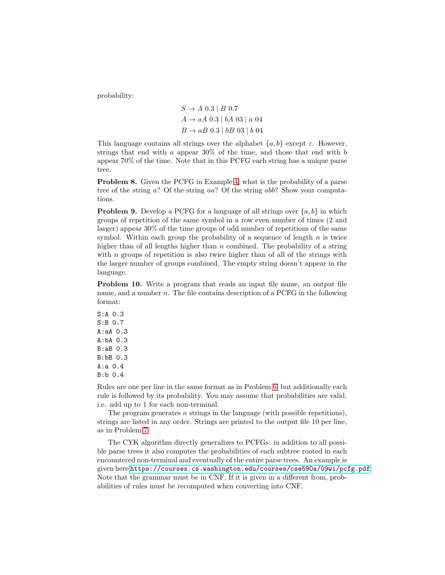probability:

$$
S \to A \; 0.3 \mid B \; 0.7
$$
  

$$
A \to aA \; 0.3 \mid bA \; 03 \mid a \; 04
$$
  

$$
B \to aB \; 0.3 \mid bB \; 03 \mid b \; 04
$$

This language contains all strings over the alphabet  $\{a, b\}$  except  $\varepsilon$ . However, strings that end with  $a$  appear 30% of the time, and those that end with  $b$ appear 70% of the time. Note that in this PCFG each string has a unique parse tree.

Problem 8. Given the PCFG in Example [4,](#page-6-1) what is the probability of a parse tree of the string a? Of the string aa? Of the string abb? Show your computations.

**Problem 9.** Develop a PCFG for a language of all strings over  $\{a, b\}$  in which groups of repetition of the same symbol in a row even number of times (2 and larger) appear 30% of the time groups of odd number of repetitions of the same symbol. Within each group the probability of a sequence of length  $n$  is twice higher than of all lengths higher than  $n$  combined. The probability of a string with  $n$  groups of repetition is also twice higher than of all of the strings with the larger number of groups combined. The empty string doesn't appear in the language.

<span id="page-7-0"></span>Problem 10. Write a program that reads an input file name, an output file name, and a number  $n$ . The file contains description of a PCFG in the following format:

S:A 0.3 S:B 0.7 A:aA 0.3 A:bA 0.3 B:aB 0.3 B:bB 0.3 A:a 0.4 B:b 0.4

Rules are one per line in the same format as in Problem [6,](#page-5-0) but additionally each rule is followed by its probability. You may assume that probabilities are valid, i.e. add up to 1 for each non-terminal.

The program generates  $n$  strings in the language (with possible repetitions), strings are listed in any order. Strings are printed to the output file 10 per line, as in Problem [7.](#page-6-2)

The CYK algorithm directly generalizes to PCFGs: in addition to all possible parse trees it also computes the probabilities of each subtree rooted in each encountered non-terminal and eventually of the entire parse trees. An example is given here <https://courses.cs.washington.edu/courses/cse590a/09wi/pcfg.pdf>. Note that the grammar must be in CNF. If it is given in a different from, probabilities of rules must be recomputed when converting into CNF.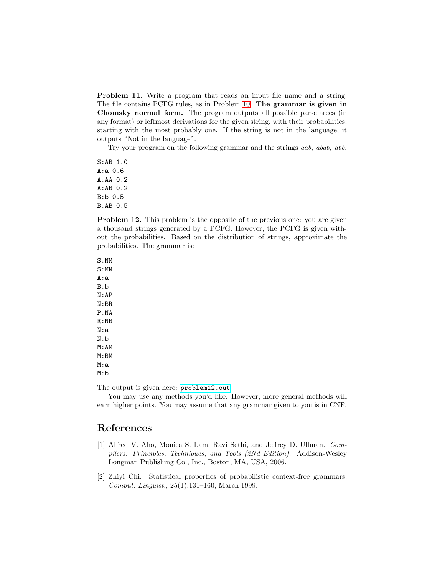Problem 11. Write a program that reads an input file name and a string. The file contains PCFG rules, as in Problem [10.](#page-7-0) The grammar is given in Chomsky normal form. The program outputs all possible parse trees (in any format) or leftmost derivations for the given string, with their probabilities, starting with the most probably one. If the string is not in the language, it outputs "Not in the language".

Try your program on the following grammar and the strings *aab, abab, abb.*

S:AB 1.0 A:a 0.6 A:AA 0.2 A:AB 0.2 B:b 0.5 B:AB 0.5

Problem 12. This problem is the opposite of the previous one: you are given a thousand strings generated by a PCFG. However, the PCFG is given without the probabilities. Based on the distribution of strings, approximate the probabilities. The grammar is:

S:NM S:MN A:a B:b N:AP N:BR P:NA R:NB N:a N:b M:AM M:BM M:a M:b

The output is given here: <problem12.out>.

You may use any methods you'd like. However, more general methods will earn higher points. You may assume that any grammar given to you is in CNF.

## <span id="page-8-0"></span>References

- [1] Alfred V. Aho, Monica S. Lam, Ravi Sethi, and Jeffrey D. Ullman. *Compilers: Principles, Techniques, and Tools (2Nd Edition)*. Addison-Wesley Longman Publishing Co., Inc., Boston, MA, USA, 2006.
- <span id="page-8-1"></span>[2] Zhiyi Chi. Statistical properties of probabilistic context-free grammars. *Comput. Linguist.*, 25(1):131–160, March 1999.